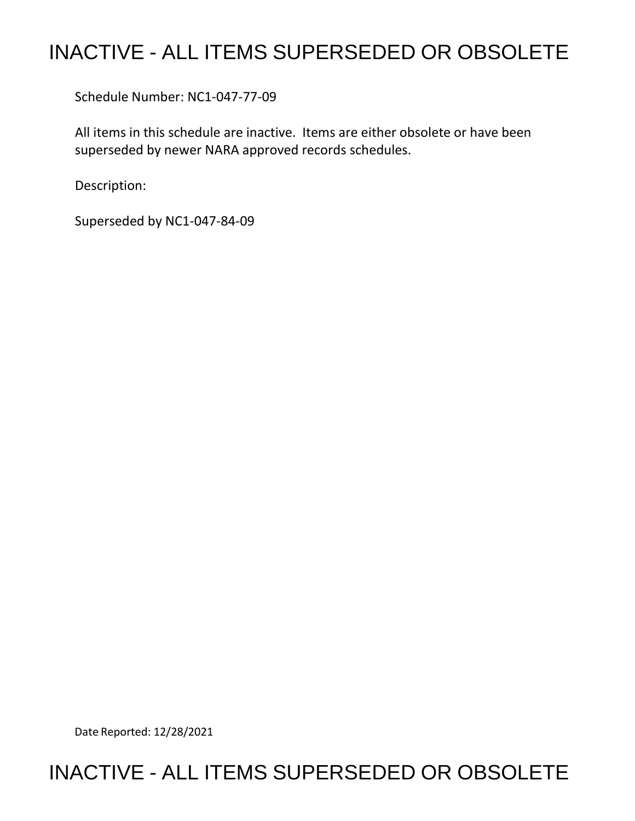## INACTIVE - ALL ITEMS SUPERSEDED OR OBSOLETE

Schedule Number: NC1-047-77-09

 All items in this schedule are inactive. Items are either obsolete or have been superseded by newer NARA approved records schedules.

Description:

Superseded by NC1-047-84-09

Date Reported: 12/28/2021

## INACTIVE - ALL ITEMS SUPERSEDED OR OBSOLETE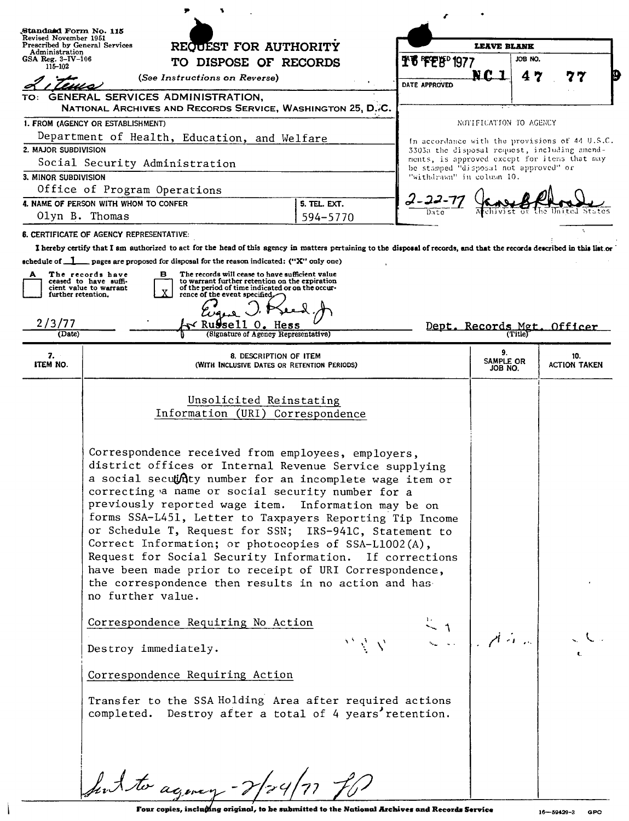| Standatd Form No. 115<br>Revised November 1951<br>Prescribed by General Services |                                                                                                                                                                                                                                                                                                                                                                                                                                                                                                                                                                                                                                                                                                                             |                           |                                       |                                                                                              |  |
|----------------------------------------------------------------------------------|-----------------------------------------------------------------------------------------------------------------------------------------------------------------------------------------------------------------------------------------------------------------------------------------------------------------------------------------------------------------------------------------------------------------------------------------------------------------------------------------------------------------------------------------------------------------------------------------------------------------------------------------------------------------------------------------------------------------------------|---------------------------|---------------------------------------|----------------------------------------------------------------------------------------------|--|
| Administration<br>GSA Reg. $3-\text{IV}-106$                                     | REQUEST FOR AUTHORITY                                                                                                                                                                                                                                                                                                                                                                                                                                                                                                                                                                                                                                                                                                       | <b>LEAVE BLANK</b>        |                                       | JOB NO.                                                                                      |  |
| 115-102                                                                          | TO DISPOSE OF RECORDS                                                                                                                                                                                                                                                                                                                                                                                                                                                                                                                                                                                                                                                                                                       | <u> ቸቼ 'ፑΈ</u> ጅ' 1977    | NC                                    |                                                                                              |  |
|                                                                                  | (See Instructions on Reverse)                                                                                                                                                                                                                                                                                                                                                                                                                                                                                                                                                                                                                                                                                               | DATE APPROVED             | 4                                     | 7                                                                                            |  |
|                                                                                  | GENERAL SERVICES ADMINISTRATION,<br>NATIONAL ARCHIVES AND RECORDS SERVICE, WASHINGTON 25, D.7C.                                                                                                                                                                                                                                                                                                                                                                                                                                                                                                                                                                                                                             |                           |                                       |                                                                                              |  |
| 1. FROM (AGENCY OR ESTABLISHMENT)                                                |                                                                                                                                                                                                                                                                                                                                                                                                                                                                                                                                                                                                                                                                                                                             | NOTIFICATION TO AGENCY    |                                       |                                                                                              |  |
| Department of Health, Education, and Welfare                                     |                                                                                                                                                                                                                                                                                                                                                                                                                                                                                                                                                                                                                                                                                                                             |                           |                                       | In accordance with the provisions of 44 U.S.C.                                               |  |
| 2. MAJOR SUBDIVISION                                                             |                                                                                                                                                                                                                                                                                                                                                                                                                                                                                                                                                                                                                                                                                                                             |                           |                                       | 3303a the disposal request, including amend-<br>ments, is approved except for items that may |  |
| Social Security Administration                                                   |                                                                                                                                                                                                                                                                                                                                                                                                                                                                                                                                                                                                                                                                                                                             |                           | be stamped "disposal not approved" or |                                                                                              |  |
| 3. MINOR SUBDIVISION<br>Office of Program Operations                             |                                                                                                                                                                                                                                                                                                                                                                                                                                                                                                                                                                                                                                                                                                                             | "withdrawn" in column 10. |                                       |                                                                                              |  |
| 4. NAME OF PERSON WITH WHOM TO CONFER<br>5. TEL. EXT.                            |                                                                                                                                                                                                                                                                                                                                                                                                                                                                                                                                                                                                                                                                                                                             |                           |                                       |                                                                                              |  |
| Olyn B. Thomas<br>594-5770                                                       |                                                                                                                                                                                                                                                                                                                                                                                                                                                                                                                                                                                                                                                                                                                             |                           |                                       |                                                                                              |  |
| <b>8. CERTIFICATE OF AGENCY REPRESENTATIVE:</b>                                  |                                                                                                                                                                                                                                                                                                                                                                                                                                                                                                                                                                                                                                                                                                                             |                           |                                       |                                                                                              |  |
|                                                                                  | I hereby certify that I am authorized to act for the head of this agency in matters pertaining to the disposal of records, and that the records described in this list or                                                                                                                                                                                                                                                                                                                                                                                                                                                                                                                                                   |                           |                                       |                                                                                              |  |
|                                                                                  | achedule of $\Box$ pages are proposed for disposal for the reason indicated: ("X" only one)                                                                                                                                                                                                                                                                                                                                                                                                                                                                                                                                                                                                                                 |                           |                                       |                                                                                              |  |
| A                                                                                | The records will cease to have sufficient value<br>The records have<br>в<br>to warrant further retention on the expiration<br>ceased to have suffi-                                                                                                                                                                                                                                                                                                                                                                                                                                                                                                                                                                         |                           |                                       |                                                                                              |  |
| further retention.                                                               | of the period of time indicated or on the occur-<br>cient value to warrant<br>rence of the event specified,                                                                                                                                                                                                                                                                                                                                                                                                                                                                                                                                                                                                                 |                           |                                       |                                                                                              |  |
|                                                                                  |                                                                                                                                                                                                                                                                                                                                                                                                                                                                                                                                                                                                                                                                                                                             |                           |                                       |                                                                                              |  |
| 2/3/77                                                                           | Russe                                                                                                                                                                                                                                                                                                                                                                                                                                                                                                                                                                                                                                                                                                                       |                           |                                       | Dept. Records Met. Officer                                                                   |  |
| (Date)                                                                           | (Signature of Agency Representative)                                                                                                                                                                                                                                                                                                                                                                                                                                                                                                                                                                                                                                                                                        |                           |                                       |                                                                                              |  |
| 7.<br>ITEM NO.                                                                   | 8. DESCRIPTION OF ITEM<br>(WITH INCLUSIVE DATES OR RETENTION PERIODS)                                                                                                                                                                                                                                                                                                                                                                                                                                                                                                                                                                                                                                                       |                           | 9.<br>SAMPLE OR<br>JOB NO.            | 10.<br><b>ACTION TAKEN</b>                                                                   |  |
|                                                                                  |                                                                                                                                                                                                                                                                                                                                                                                                                                                                                                                                                                                                                                                                                                                             |                           |                                       |                                                                                              |  |
|                                                                                  | Unsolicited Reinstating<br>Information (URI) Correspondence                                                                                                                                                                                                                                                                                                                                                                                                                                                                                                                                                                                                                                                                 |                           |                                       |                                                                                              |  |
|                                                                                  |                                                                                                                                                                                                                                                                                                                                                                                                                                                                                                                                                                                                                                                                                                                             |                           |                                       |                                                                                              |  |
|                                                                                  | Correspondence received from employees, employers,<br>district offices or Internal Revenue Service supplying<br>a social secutifity number for an incomplete wage item or<br>correcting a name or social security number for a<br>previously reported wage item. Information may be on<br>forms SSA-L451, Letter to Taxpayers Reporting Tip Income<br>or Schedule T, Request for SSN; IRS-941C, Statement to<br>Correct Information; or photocopies of SSA-L1002(A),<br>Request for Social Security Information. If corrections<br>have been made prior to receipt of URI Correspondence,<br>the correspondence then results in no action and has-<br>no further value.<br>Correspondence Requiring No Action<br>MAN EN ARA |                           |                                       |                                                                                              |  |
|                                                                                  | Destroy immediately.                                                                                                                                                                                                                                                                                                                                                                                                                                                                                                                                                                                                                                                                                                        |                           |                                       |                                                                                              |  |
|                                                                                  | Correspondence Requiring Action                                                                                                                                                                                                                                                                                                                                                                                                                                                                                                                                                                                                                                                                                             |                           |                                       |                                                                                              |  |
|                                                                                  | Transfer to the SSA Holding Area after required actions<br>completed. Destroy after a total of 4 years' retention.                                                                                                                                                                                                                                                                                                                                                                                                                                                                                                                                                                                                          |                           |                                       |                                                                                              |  |
|                                                                                  | Sunt to agency-2/24/77 for                                                                                                                                                                                                                                                                                                                                                                                                                                                                                                                                                                                                                                                                                                  |                           |                                       |                                                                                              |  |

 $\overline{\phantom{a}}$